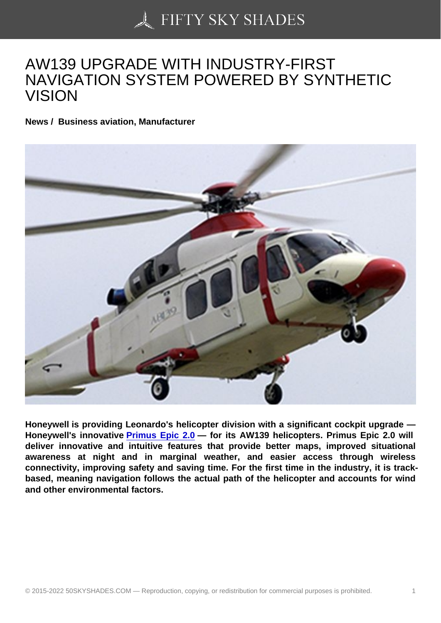## [AW139 UPGRADE WI](https://50skyshades.com)TH INDUSTRY-FIRST NAVIGATION SYSTEM POWERED BY SYNTHETIC VISION

News / Business aviation, Manufacturer

Honeywell is providing Leonardo's helicopter division with a significant cockpit upgrade — Honeywell's innovative Primus Epic 2.0 — for its AW139 helicopters. Primus Epic 2.0 will deliver innovative and intuitive features that provide better maps, improved situational awareness at night and in marginal weather, and easier access through wireless connectivity, improving s[afety and saving t](https://aerospace.honeywell.com/en/learn/products/cockpit-systems-and-displays/primus-epic?utm_source=referral&utm_medium=publicrelations&utm_content=phase8release)ime. For the first time in the industry, it is trackbased, meaning navigation follows the actual path of the helicopter and accounts for wind and other environmental factors.